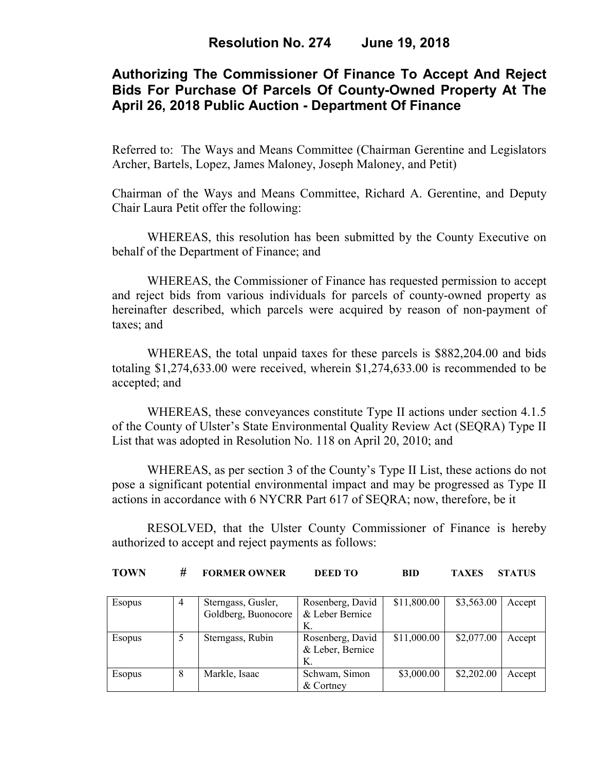## **Authorizing The Commissioner Of Finance To Accept And Reject Bids For Purchase Of Parcels Of County-Owned Property At The April 26, 2018 Public Auction - Department Of Finance**

Referred to: The Ways and Means Committee (Chairman Gerentine and Legislators Archer, Bartels, Lopez, James Maloney, Joseph Maloney, and Petit)

Chairman of the Ways and Means Committee, Richard A. Gerentine, and Deputy Chair Laura Petit offer the following:

WHEREAS, this resolution has been submitted by the County Executive on behalf of the Department of Finance; and

WHEREAS, the Commissioner of Finance has requested permission to accept and reject bids from various individuals for parcels of county-owned property as hereinafter described, which parcels were acquired by reason of non-payment of taxes; and

WHEREAS, the total unpaid taxes for these parcels is \$882,204.00 and bids totaling \$1,274,633.00 were received, wherein \$1,274,633.00 is recommended to be accepted; and

WHEREAS, these conveyances constitute Type II actions under section 4.1.5 of the County of Ulster's State Environmental Quality Review Act (SEQRA) Type II List that was adopted in Resolution No. 118 on April 20, 2010; and

WHEREAS, as per section 3 of the County's Type II List, these actions do not pose a significant potential environmental impact and may be progressed as Type II actions in accordance with 6 NYCRR Part 617 of SEQRA; now, therefore, be it

RESOLVED, that the Ulster County Commissioner of Finance is hereby authorized to accept and reject payments as follows:

**TOWN # FORMER OWNER DEED TO BID TAXES STATUS** 

| <b>Esopus</b> | 4 | Sterngass, Gusler,  | Rosenberg, David | \$11,800.00 | \$3,563.00 | Accept |
|---------------|---|---------------------|------------------|-------------|------------|--------|
|               |   | Goldberg, Buonocore | & Leber Bernice  |             |            |        |
|               |   |                     | К.               |             |            |        |
| <b>Esopus</b> |   | Sterngass, Rubin    | Rosenberg, David | \$11,000.00 | \$2,077.00 | Accept |
|               |   |                     | & Leber, Bernice |             |            |        |
|               |   |                     | K.               |             |            |        |
| Esopus        | 8 | Markle, Isaac       | Schwam, Simon    | \$3,000.00  | \$2,202.00 | Accept |
|               |   |                     | & Cortney        |             |            |        |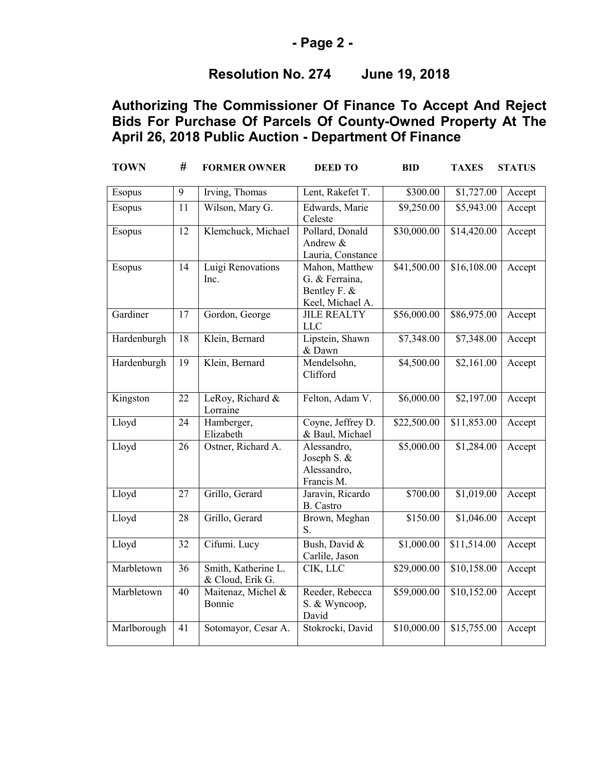### **- Page 2 -**

# **Resolution No. 274 June 19, 2018**

| <b>TOWN</b> | #               | <b>FORMER OWNER</b>                     | <b>DEED TO</b>                                                       | <b>BID</b>  | <b>TAXES</b> | <b>STATUS</b> |
|-------------|-----------------|-----------------------------------------|----------------------------------------------------------------------|-------------|--------------|---------------|
| Esopus      | 9               | Irving, Thomas                          | Lent, Rakefet T.                                                     | \$300.00    | \$1,727.00   | Accept        |
| Esopus      | $\overline{11}$ | Wilson, Mary G.                         | Edwards, Marie<br>Celeste                                            | \$9,250.00  | \$5,943.00   | Accept        |
| Esopus      | 12              | Klemchuck, Michael                      | Pollard, Donald<br>Andrew &<br>Lauria, Constance                     | \$30,000.00 | \$14,420.00  | Accept        |
| Esopus      | 14              | Luigi Renovations<br>Inc.               | Mahon, Matthew<br>G. & Ferraina,<br>Bentley F. &<br>Keel, Michael A. | \$41,500.00 | \$16,108.00  | Accept        |
| Gardiner    | 17              | Gordon, George                          | <b>JILE REALTY</b><br><b>LLC</b>                                     | \$56,000.00 | \$86,975.00  | Accept        |
| Hardenburgh | $\overline{18}$ | Klein, Bernard                          | Lipstein, Shawn<br>& Dawn                                            | \$7,348.00  | \$7,348.00   | Accept        |
| Hardenburgh | 19              | Klein, Bernard                          | Mendelsohn,<br>Clifford                                              | \$4,500.00  | \$2,161.00   | Accept        |
| Kingston    | 22              | LeRoy, Richard &<br>Lorraine            | Felton, Adam V.                                                      | \$6,000.00  | \$2,197.00   | Accept        |
| Lloyd       | 24              | Hamberger,<br>Elizabeth                 | Coyne, Jeffrey D.<br>& Baul, Michael                                 | \$22,500.00 | \$11,853.00  | Accept        |
| Lloyd       | 26              | Ostner, Richard A.                      | Alessandro,<br>Joseph S. &<br>Alessandro,<br>Francis M.              | \$5,000.00  | \$1,284.00   | Accept        |
| Lloyd       | 27              | Grillo, Gerard                          | Jaravin, Ricardo<br><b>B.</b> Castro                                 | \$700.00    | \$1,019.00   | Accept        |
| Lloyd       | 28              | Grillo, Gerard                          | Brown, Meghan<br>S.                                                  | \$150.00    | \$1,046.00   | Accept        |
| Lloyd       | $\overline{32}$ | Cifumi. Lucy                            | Bush, David &<br>Carlile, Jason                                      | \$1,000.00  | \$11,514.00  | Accept        |
| Marbletown  | $\overline{36}$ | Smith, Katherine L.<br>& Cloud, Erik G. | CIK, LLC                                                             | \$29,000.00 | \$10,158.00  | Accept        |
| Marbletown  | $\overline{40}$ | Maitenaz, Michel &<br>Bonnie            | Reeder, Rebecca<br>S. & Wyncoop,<br>David                            | \$59,000.00 | \$10,152.00  | Accept        |
| Marlborough | 41              | Sotomayor, Cesar A.                     | Stokrocki, David                                                     | \$10,000.00 | \$15,755.00  | Accept        |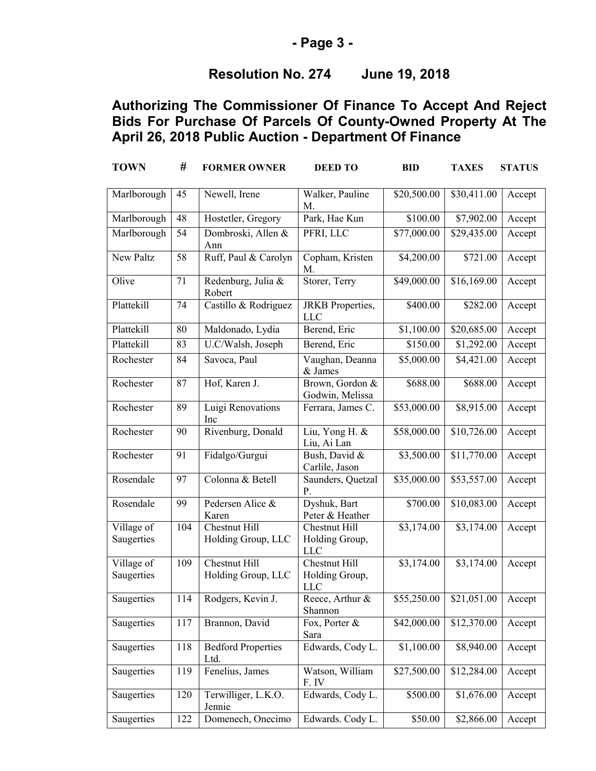### **- Page 3 -**

# **Resolution No. 274 June 19, 2018**

| <b>TOWN</b>              | #   | <b>FORMER OWNER</b>                        | <b>DEED TO</b>                                | <b>BID</b>  | <b>TAXES</b>           | <b>STATUS</b> |
|--------------------------|-----|--------------------------------------------|-----------------------------------------------|-------------|------------------------|---------------|
| Marlborough              | 45  | Newell, Irene                              | Walker, Pauline<br>M.                         | \$20,500.00 | \$30,411.00            | Accept        |
| Marlborough              | 48  | Hostetler, Gregory                         | Park, Hae Kun                                 | \$100.00    | \$7,902.00             | Accept        |
| Marlborough              | 54  | Dombroski, Allen &<br>Ann                  | PFRI, LLC                                     | \$77,000.00 | \$29,435.00            | Accept        |
| New Paltz                | 58  | Ruff, Paul & Carolyn                       | Copham, Kristen<br>M.                         | \$4,200.00  | \$721.00               | Accept        |
| Olive                    | 71  | Redenburg, Julia &<br>Robert               | Storer, Terry                                 | \$49,000.00 | \$16,169.00            | Accept        |
| Plattekill               | 74  | Castillo & Rodriguez                       | JRKB Properties,<br><b>LLC</b>                | \$400.00    | \$282.00               | Accept        |
| Plattekill               | 80  | Maldonado, Lydia                           | Berend, Eric                                  | \$1,100.00  | \$20,685.00            | Accept        |
| Plattekill               | 83  | U.C/Walsh, Joseph                          | Berend, Eric                                  | \$150.00    | $\overline{$1,292.00}$ | Accept        |
| Rochester                | 84  | Savoca, Paul                               | Vaughan, Deanna<br>& James                    | \$5,000.00  | \$4,421.00             | Accept        |
| Rochester                | 87  | Hof, Karen J.                              | Brown, Gordon &<br>Godwin, Melissa            | \$688.00    | \$688.00               | Accept        |
| Rochester                | 89  | Luigi Renovations<br>Inc                   | Ferrara, James C.                             | \$53,000.00 | \$8,915.00             | Accept        |
| Rochester                | 90  | Rivenburg, Donald                          | Liu, Yong H. &<br>Liu, Ai Lan                 | \$58,000.00 | \$10,726.00            | Accept        |
| Rochester                | 91  | Fidalgo/Gurgui                             | Bush, David &<br>Carlile, Jason               | \$3,500.00  | \$11,770.00            | Accept        |
| Rosendale                | 97  | Colonna & Betell                           | Saunders, Quetzal<br>P.                       | \$35,000.00 | \$53,557.00            | Accept        |
| Rosendale                | 99  | Pedersen Alice &<br>Karen                  | Dyshuk, Bart<br>Peter & Heather               | \$700.00    | \$10,083.00            | Accept        |
| Village of<br>Saugerties | 104 | <b>Chestnut Hill</b><br>Holding Group, LLC | Chestnut Hill<br>Holding Group,<br><b>LLC</b> | \$3,174.00  | \$3,174.00             | Accept        |
| Village of<br>Saugerties | 109 | <b>Chestnut Hill</b><br>Holding Group, LLC | Chestnut Hill<br>Holding Group,<br><b>LLC</b> | \$3,174.00  | \$3,174.00             | Accept        |
| Saugerties               | 114 | Rodgers, Kevin J.                          | Reece, Arthur $\&$<br>Shannon                 | \$55,250.00 | \$21,051.00            | Accept        |
| Saugerties               | 117 | Brannon, David                             | Fox, Porter &<br>Sara                         | \$42,000.00 | \$12,370.00            | Accept        |
| Saugerties               | 118 | <b>Bedford Properties</b><br>Ltd.          | Edwards, Cody L.                              | \$1,100.00  | \$8,940.00             | Accept        |
| Saugerties               | 119 | Fenelius, James                            | Watson, William<br>F. IV                      | \$27,500.00 | \$12,284.00            | Accept        |
| Saugerties               | 120 | Terwilliger, L.K.O.<br>Jennie              | Edwards, Cody L.                              | \$500.00    | \$1,676.00             | Accept        |
| Saugerties               | 122 | Domenech, Onecimo                          | Edwards. Cody L.                              | \$50.00     | \$2,866.00             | Accept        |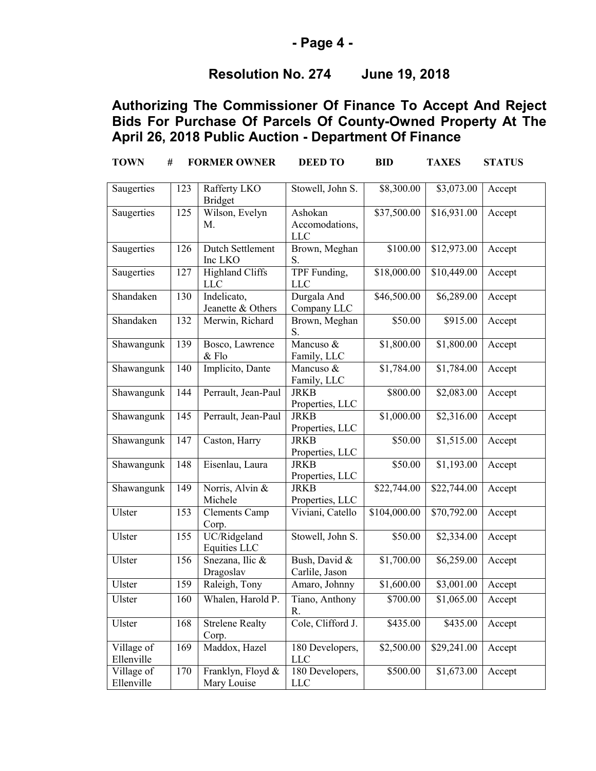### **- Page 4 -**

## **Resolution No. 274 June 19, 2018**

| <b>TOWN</b>                           | #   | <b>FORMER OWNER</b>                 | <b>DEED TO</b>                          | <b>BID</b>          | <b>TAXES</b>           | <b>STATUS</b> |
|---------------------------------------|-----|-------------------------------------|-----------------------------------------|---------------------|------------------------|---------------|
| Saugerties                            | 123 | Rafferty LKO<br><b>Bridget</b>      | Stowell, John S.                        | \$8,300.00          | \$3,073.00             | Accept        |
| Saugerties                            | 125 | Wilson, Evelyn<br>M.                | Ashokan<br>Accomodations,<br><b>LLC</b> | \$37,500.00         | \$16,931.00            | Accept        |
| Saugerties                            | 126 | <b>Dutch Settlement</b><br>Inc LKO  | Brown, Meghan<br>S.                     | \$100.00            | \$12,973.00            | Accept        |
| Saugerties                            | 127 | Highland Cliffs<br><b>LLC</b>       | TPF Funding,<br><b>LLC</b>              | \$18,000.00         | \$10,449.00            | Accept        |
| Shandaken                             | 130 | Indelicato,<br>Jeanette & Others    | Durgala And<br>Company LLC              | \$46,500.00         | \$6,289.00             | Accept        |
| Shandaken                             | 132 | Merwin, Richard                     | Brown, Meghan<br>S.                     | \$50.00             | \$915.00               | Accept        |
| Shawangunk                            | 139 | Bosco, Lawrence<br>$&$ Flo          | Mancuso &<br>Family, LLC                | \$1,800.00          | \$1,800.00             | Accept        |
| Shawangunk                            | 140 | Implicito, Dante                    | Mancuso &<br>Family, LLC                | \$1,784.00          | \$1,784.00             | Accept        |
| Shawangunk                            | 144 | Perrault, Jean-Paul                 | <b>JRKB</b><br>Properties, LLC          | \$800.00            | \$2,083.00             | Accept        |
| Shawangunk                            | 145 | Perrault, Jean-Paul                 | <b>JRKB</b><br>Properties, LLC          | \$1,000.00          | $\overline{$2,316.00}$ | Accept        |
| Shawangunk                            | 147 | Caston, Harry                       | <b>JRKB</b><br>Properties, LLC          | \$50.00             | \$1,515.00             | Accept        |
| Shawangunk                            | 148 | Eisenlau, Laura                     | <b>JRKB</b><br>Properties, LLC          | $\overline{$}50.00$ | \$1,193.00             | Accept        |
| Shawangunk                            | 149 | Norris, Alvin &<br>Michele          | <b>JRKB</b><br>Properties, LLC          | \$22,744.00         | \$22,744.00            | Accept        |
| Ulster                                | 153 | Clements Camp<br>Corp.              | Viviani, Catello                        | \$104,000.00        | \$70,792.00            | Accept        |
| Ulster                                | 155 | UC/Ridgeland<br><b>Equities LLC</b> | Stowell, John S.                        | \$50.00             | \$2,334.00             | Accept        |
| Ulster                                | 156 | Snezana, Ilic &<br>Dragoslav        | Bush, David &<br>Carlile, Jason         | \$1,700.00          | \$6,259.00             | Accept        |
| Ulster                                | 159 | Raleigh, Tony                       | Amaro, Johnny                           | \$1,600.00          | \$3,001.00             | Accept        |
| Ulster                                | 160 | Whalen, Harold P.                   | Tiano, Anthony<br>R.                    | \$700.00            | \$1,065.00             | Accept        |
| Ulster                                | 168 | <b>Strelene Realty</b><br>Corp.     | Cole, Clifford J.                       | \$435.00            | \$435.00               | Accept        |
| Village of<br>Ellenville              | 169 | Maddox, Hazel                       | 180 Developers,<br><b>LLC</b>           | \$2,500.00          | \$29,241.00            | Accept        |
| Village $\overline{of}$<br>Ellenville | 170 | Franklyn, Floyd &<br>Mary Louise    | 180 Developers,<br>LLC                  | \$500.00            | \$1,673.00             | Accept        |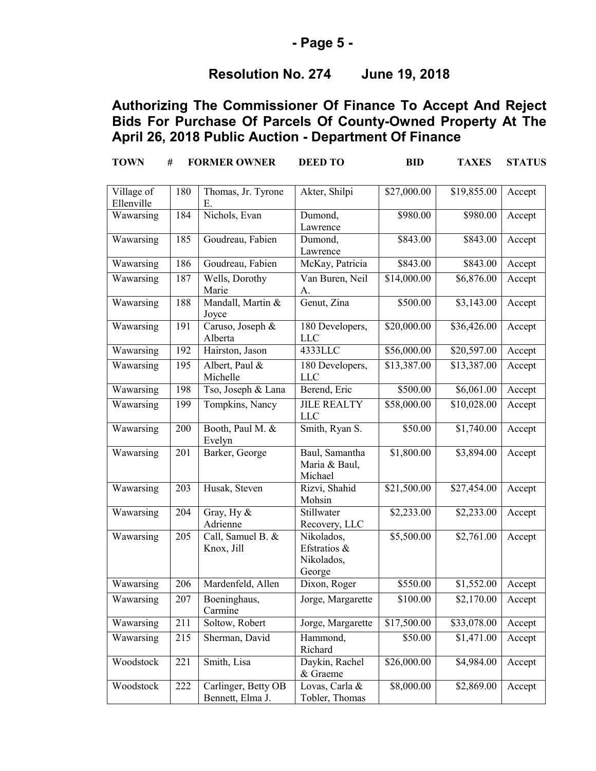### **- Page 5 -**

## **Resolution No. 274 June 19, 2018**

| <b>TOWN</b>              | #   | <b>FORMER OWNER</b>                     | <b>DEED TO</b>                                     | <b>BID</b>  | <b>TAXES</b>           | <b>STATUS</b> |
|--------------------------|-----|-----------------------------------------|----------------------------------------------------|-------------|------------------------|---------------|
| Village of<br>Ellenville | 180 | Thomas, Jr. Tyrone<br>Ε.                | Akter, Shilpi                                      | \$27,000.00 | \$19,855.00            | Accept        |
| Wawarsing                | 184 | Nichols, Evan                           | Dumond,<br>Lawrence                                | \$980.00    | \$980.00               | Accept        |
| Wawarsing                | 185 | Goudreau, Fabien                        | Dumond,<br>Lawrence                                | \$843.00    | \$843.00               | Accept        |
| Wawarsing                | 186 | Goudreau, Fabien                        | McKay, Patricia                                    | \$843.00    | \$843.00               | Accept        |
| Wawarsing                | 187 | Wells, Dorothy<br>Marie                 | Van Buren, Neil<br>А.                              | \$14,000.00 | $\overline{$6,876.00}$ | Accept        |
| Wawarsing                | 188 | Mandall, Martin &<br>Joyce              | Genut, Zina                                        | \$500.00    | \$3,143.00             | Accept        |
| Wawarsing                | 191 | Caruso, Joseph &<br>Alberta             | 180 Developers,<br><b>LLC</b>                      | \$20,000.00 | \$36,426.00            | Accept        |
| Wawarsing                | 192 | Hairston, Jason                         | 4333LLC                                            | \$56,000.00 | \$20,597.00            | Accept        |
| Wawarsing                | 195 | Albert, Paul &<br>Michelle              | 180 Developers,<br><b>LLC</b>                      | \$13,387.00 | \$13,387.00            | Accept        |
| Wawarsing                | 198 | Tso, Joseph & Lana                      | Berend, Eric                                       | \$500.00    | \$6,061.00             | Accept        |
| Wawarsing                | 199 | Tompkins, Nancy                         | <b>JILE REALTY</b><br><b>LLC</b>                   | \$58,000.00 | \$10,028.00            | Accept        |
| Wawarsing                | 200 | Booth, Paul M. &<br>Evelyn              | Smith, Ryan S.                                     | \$50.00     | \$1,740.00             | Accept        |
| Wawarsing                | 201 | Barker, George                          | Baul, Samantha<br>Maria & Baul,<br>Michael         | \$1,800.00  | \$3,894.00             | Accept        |
| Wawarsing                | 203 | Husak, Steven                           | Rizvi, Shahid<br>Mohsin                            | \$21,500.00 | \$27,454.00            | Accept        |
| Wawarsing                | 204 | Gray, Hy $&$<br>Adrienne                | Stillwater<br>Recovery, LLC                        | \$2,233.00  | \$2,233.00             | Accept        |
| Wawarsing                | 205 | Call, Samuel B. &<br>Knox, Jill         | Nikolados,<br>Efstratios &<br>Nikolados,<br>George | \$5,500.00  | \$2,761.00             | Accept        |
| Wawarsing                | 206 | Mardenfeld, Allen                       | Dixon, Roger                                       | \$550.00    | \$1,552.00             | Accept        |
| Wawarsing                | 207 | Boeninghaus,<br>Carmine                 | Jorge, Margarette                                  | \$100.00    | \$2,170.00             | Accept        |
| Wawarsing                | 211 | Soltow, Robert                          | Jorge, Margarette                                  | \$17,500.00 | \$33,078.00            | Accept        |
| Wawarsing                | 215 | Sherman, David                          | Hammond,<br>Richard                                | \$50.00     | $\overline{$}1,471.00$ | Accept        |
| Woodstock                | 221 | Smith, Lisa                             | Daykin, Rachel<br>& Graeme                         | \$26,000.00 | \$4,984.00             | Accept        |
| Woodstock                | 222 | Carlinger, Betty OB<br>Bennett, Elma J. | Lovas, Carla &<br>Tobler, Thomas                   | \$8,000.00  | \$2,869.00             | Accept        |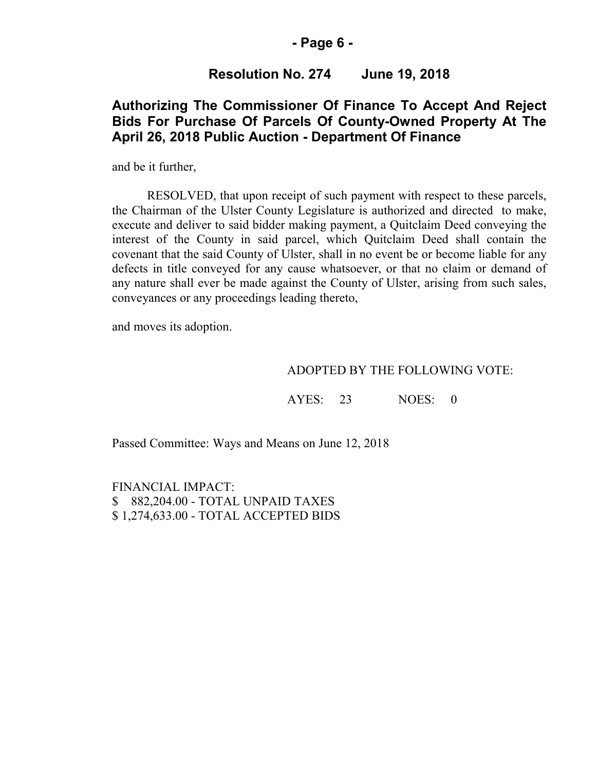#### **- Page 6 -**

### **Resolution No. 274 June 19, 2018**

### **Authorizing The Commissioner Of Finance To Accept And Reject Bids For Purchase Of Parcels Of County-Owned Property At The April 26, 2018 Public Auction - Department Of Finance**

and be it further,

RESOLVED, that upon receipt of such payment with respect to these parcels, the Chairman of the Ulster County Legislature is authorized and directed to make, execute and deliver to said bidder making payment, a Quitclaim Deed conveying the interest of the County in said parcel, which Quitclaim Deed shall contain the covenant that the said County of Ulster, shall in no event be or become liable for any defects in title conveyed for any cause whatsoever, or that no claim or demand of any nature shall ever be made against the County of Ulster, arising from such sales, conveyances or any proceedings leading thereto,

and moves its adoption.

#### ADOPTED BY THE FOLLOWING VOTE:

AYES: 23 NOES: 0

Passed Committee: Ways and Means on June 12, 2018

FINANCIAL IMPACT: \$ 882,204.00 - TOTAL UNPAID TAXES \$ 1,274,633.00 - TOTAL ACCEPTED BIDS